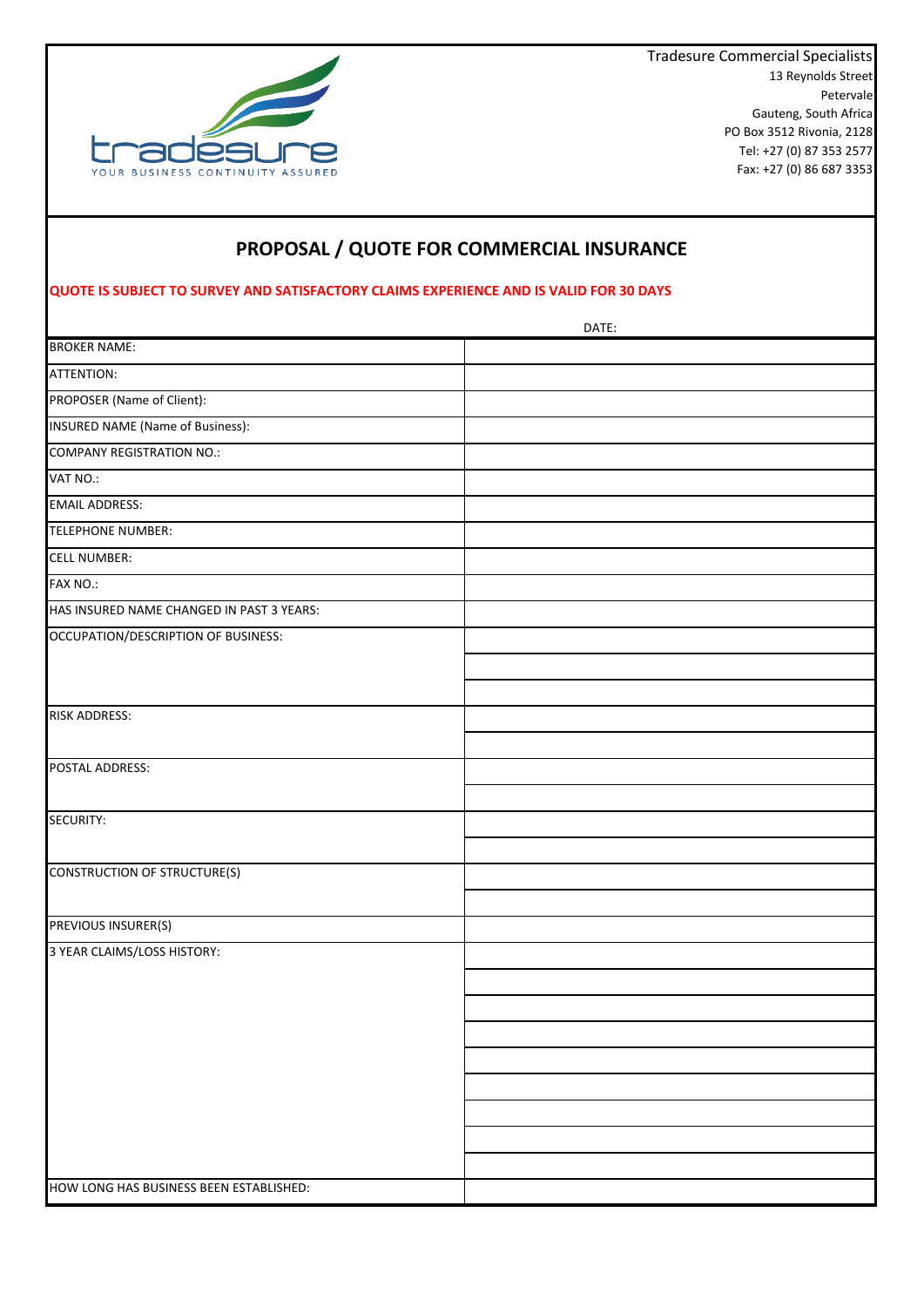

13 Reynolds Street Petervale Gauteng, South Africa PO Box 3512 Rivonia, 2128 Tel: +27 (0) 87 353 2577 Fax: +27 (0) 86 687 3353 Tradesure Commercial Specialists

## **PROPOSAL / QUOTE FOR COMMERCIAL INSURANCE**

## **QUOTE IS SUBJECT TO SURVEY AND SATISFACTORY CLAIMS EXPERIENCE AND IS VALID FOR 30 DAYS**

|                                           | DATE: |
|-------------------------------------------|-------|
| <b>BROKER NAME:</b>                       |       |
| ATTENTION:                                |       |
| PROPOSER (Name of Client):                |       |
| <b>INSURED NAME (Name of Business):</b>   |       |
| <b>COMPANY REGISTRATION NO.:</b>          |       |
| VAT NO.:                                  |       |
| <b>EMAIL ADDRESS:</b>                     |       |
| <b>TELEPHONE NUMBER:</b>                  |       |
| <b>CELL NUMBER:</b>                       |       |
| FAX NO.:                                  |       |
| HAS INSURED NAME CHANGED IN PAST 3 YEARS: |       |
| OCCUPATION/DESCRIPTION OF BUSINESS:       |       |
|                                           |       |
|                                           |       |
| <b>RISK ADDRESS:</b>                      |       |
|                                           |       |
| POSTAL ADDRESS:                           |       |
|                                           |       |
| SECURITY:                                 |       |
|                                           |       |
| <b>CONSTRUCTION OF STRUCTURE(S)</b>       |       |
|                                           |       |
| PREVIOUS INSURER(S)                       |       |
| 3 YEAR CLAIMS/LOSS HISTORY:               |       |
|                                           |       |
|                                           |       |
|                                           |       |
|                                           |       |
|                                           |       |
|                                           |       |
|                                           |       |
|                                           |       |
| HOW LONG HAS BUSINESS BEEN ESTABLISHED:   |       |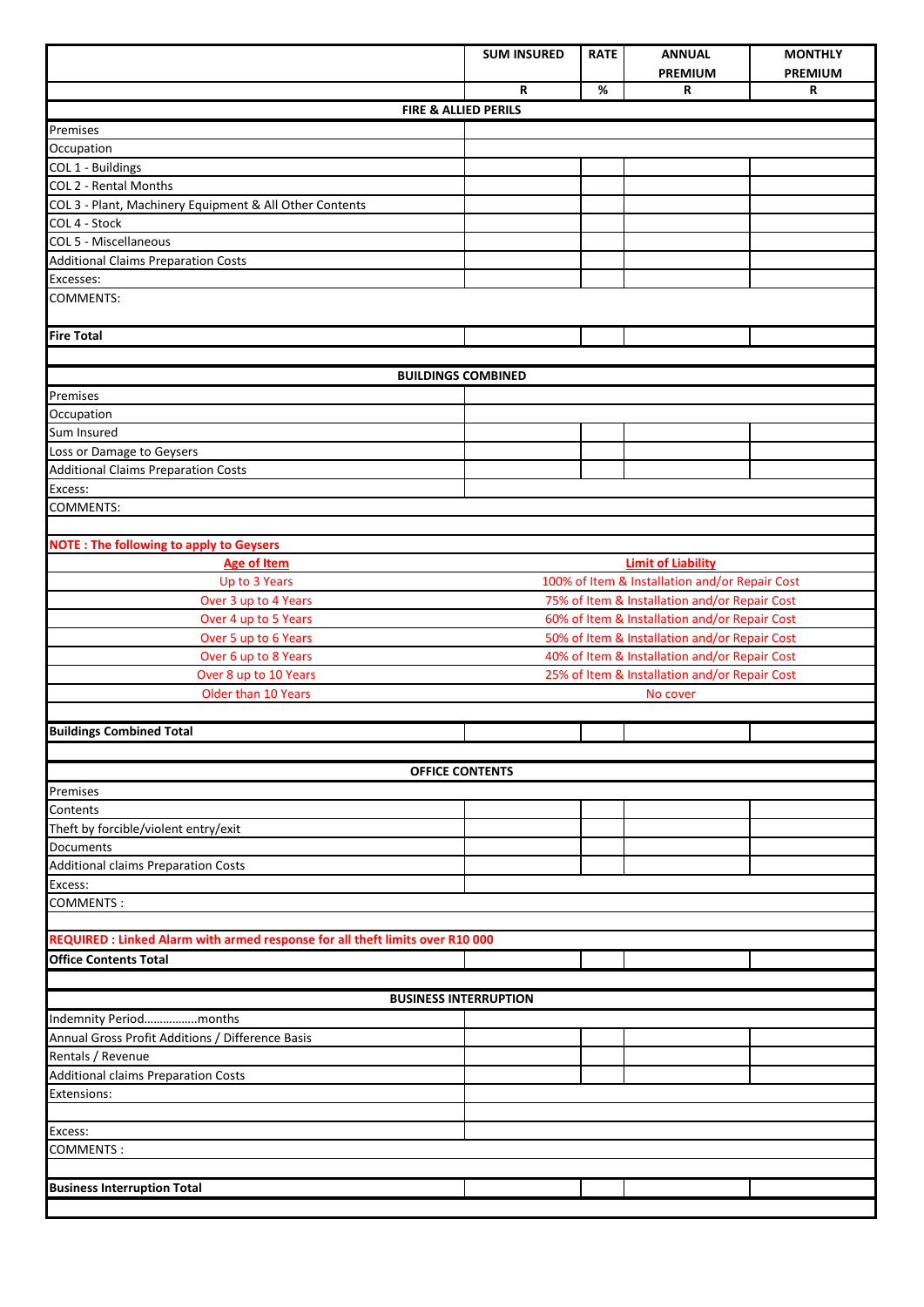|                                                                              | <b>SUM INSURED</b>                             | <b>RATE</b> | <b>ANNUAL</b>             | <b>MONTHLY</b> |
|------------------------------------------------------------------------------|------------------------------------------------|-------------|---------------------------|----------------|
|                                                                              |                                                |             | <b>PREMIUM</b>            | <b>PREMIUM</b> |
|                                                                              | R                                              | %           | R                         | R              |
| FIRE & ALLIED PERILS                                                         |                                                |             |                           |                |
| Premises                                                                     |                                                |             |                           |                |
| Occupation                                                                   |                                                |             |                           |                |
| COL 1 - Buildings                                                            |                                                |             |                           |                |
| COL 2 - Rental Months                                                        |                                                |             |                           |                |
| COL 3 - Plant, Machinery Equipment & All Other Contents<br>COL 4 - Stock     |                                                |             |                           |                |
| COL 5 - Miscellaneous                                                        |                                                |             |                           |                |
| <b>Additional Claims Preparation Costs</b>                                   |                                                |             |                           |                |
| Excesses:                                                                    |                                                |             |                           |                |
| <b>COMMENTS:</b>                                                             |                                                |             |                           |                |
| <b>Fire Total</b>                                                            |                                                |             |                           |                |
|                                                                              |                                                |             |                           |                |
| <b>BUILDINGS COMBINED</b>                                                    |                                                |             |                           |                |
| Premises                                                                     |                                                |             |                           |                |
| Occupation                                                                   |                                                |             |                           |                |
| Sum Insured                                                                  |                                                |             |                           |                |
| Loss or Damage to Geysers                                                    |                                                |             |                           |                |
| <b>Additional Claims Preparation Costs</b>                                   |                                                |             |                           |                |
| Excess:                                                                      |                                                |             |                           |                |
| <b>COMMENTS:</b>                                                             |                                                |             |                           |                |
|                                                                              |                                                |             |                           |                |
| <b>NOTE: The following to apply to Geysers</b>                               |                                                |             |                           |                |
| <b>Age of Item</b>                                                           |                                                |             | <b>Limit of Liability</b> |                |
| Up to 3 Years                                                                | 100% of Item & Installation and/or Repair Cost |             |                           |                |
| Over 3 up to 4 Years                                                         | 75% of Item & Installation and/or Repair Cost  |             |                           |                |
| Over 4 up to 5 Years                                                         | 60% of Item & Installation and/or Repair Cost  |             |                           |                |
| Over 5 up to 6 Years                                                         | 50% of Item & Installation and/or Repair Cost  |             |                           |                |
| Over 6 up to 8 Years                                                         | 40% of Item & Installation and/or Repair Cost  |             |                           |                |
| Over 8 up to 10 Years                                                        | 25% of Item & Installation and/or Repair Cost  |             |                           |                |
| Older than 10 Years<br>No cover                                              |                                                |             |                           |                |
| <b>Buildings Combined Total</b>                                              |                                                |             |                           |                |
|                                                                              |                                                |             |                           |                |
| <b>OFFICE CONTENTS</b>                                                       |                                                |             |                           |                |
| Premises                                                                     |                                                |             |                           |                |
| Contents                                                                     |                                                |             |                           |                |
| Theft by forcible/violent entry/exit                                         |                                                |             |                           |                |
| Documents                                                                    |                                                |             |                           |                |
| <b>Additional claims Preparation Costs</b>                                   |                                                |             |                           |                |
| Excess:                                                                      |                                                |             |                           |                |
| <b>COMMENTS:</b>                                                             |                                                |             |                           |                |
|                                                                              |                                                |             |                           |                |
| REQUIRED: Linked Alarm with armed response for all theft limits over R10 000 |                                                |             |                           |                |
| <b>Office Contents Total</b>                                                 |                                                |             |                           |                |
|                                                                              |                                                |             |                           |                |
| <b>BUSINESS INTERRUPTION</b>                                                 |                                                |             |                           |                |
| Indemnity Periodmonths                                                       |                                                |             |                           |                |
| Annual Gross Profit Additions / Difference Basis                             |                                                |             |                           |                |
| Rentals / Revenue                                                            |                                                |             |                           |                |
| <b>Additional claims Preparation Costs</b>                                   |                                                |             |                           |                |
| Extensions:                                                                  |                                                |             |                           |                |
|                                                                              |                                                |             |                           |                |
| Excess:                                                                      |                                                |             |                           |                |
| <b>COMMENTS:</b>                                                             |                                                |             |                           |                |
|                                                                              |                                                |             |                           |                |
| <b>Business Interruption Total</b>                                           |                                                |             |                           |                |
|                                                                              |                                                |             |                           |                |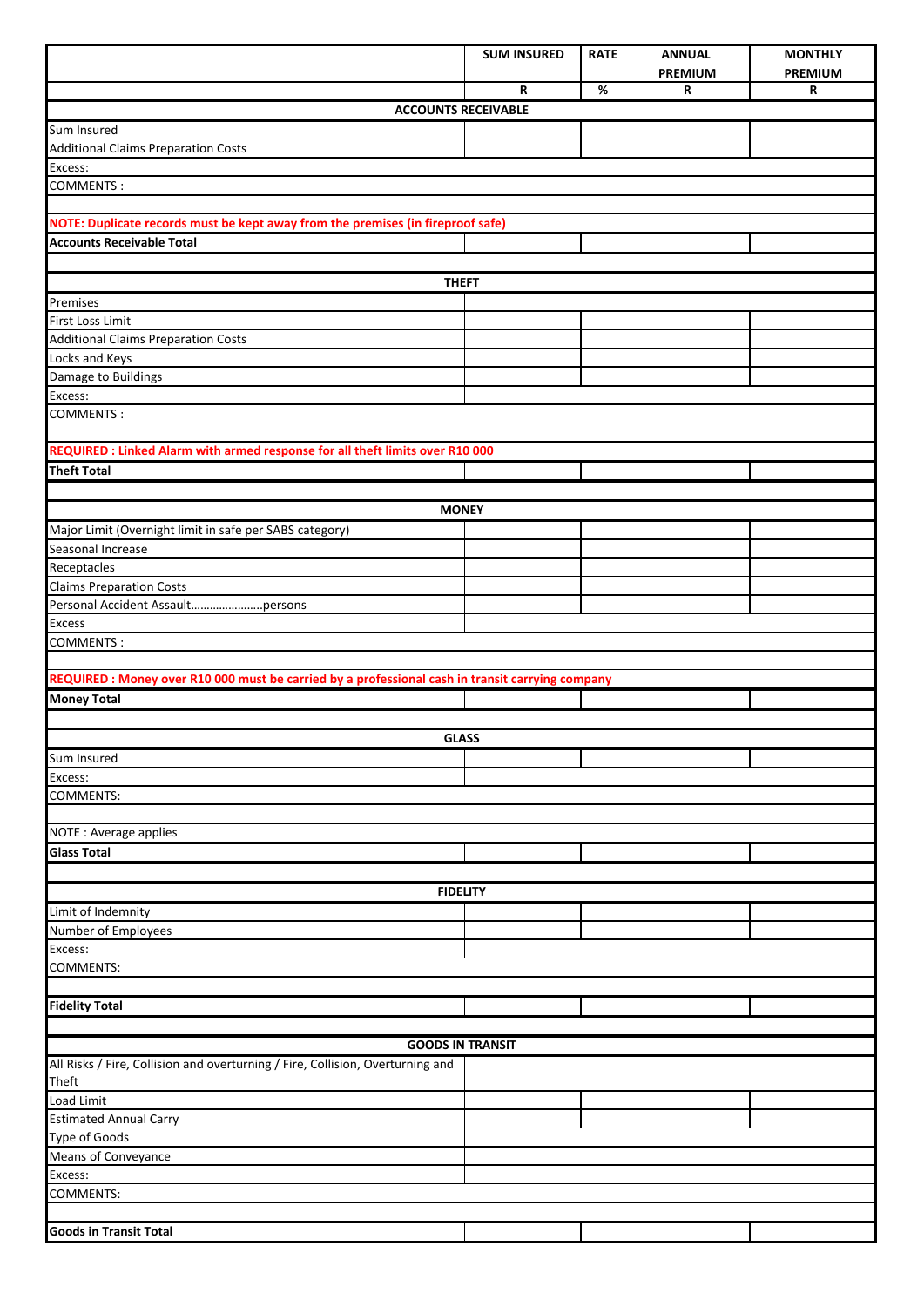|                                                                                                                     | <b>SUM INSURED</b> | <b>RATE</b> | <b>ANNUAL</b>       | <b>MONTHLY</b>      |
|---------------------------------------------------------------------------------------------------------------------|--------------------|-------------|---------------------|---------------------|
|                                                                                                                     | R                  | $\%$        | <b>PREMIUM</b><br>R | <b>PREMIUM</b><br>R |
| <b>ACCOUNTS RECEIVABLE</b>                                                                                          |                    |             |                     |                     |
| Sum Insured                                                                                                         |                    |             |                     |                     |
| <b>Additional Claims Preparation Costs</b>                                                                          |                    |             |                     |                     |
| Excess:                                                                                                             |                    |             |                     |                     |
| <b>COMMENTS:</b>                                                                                                    |                    |             |                     |                     |
|                                                                                                                     |                    |             |                     |                     |
| NOTE: Duplicate records must be kept away from the premises (in fireproof safe)<br><b>Accounts Receivable Total</b> |                    |             |                     |                     |
|                                                                                                                     |                    |             |                     |                     |
| <b>THEFT</b>                                                                                                        |                    |             |                     |                     |
| Premises                                                                                                            |                    |             |                     |                     |
| First Loss Limit                                                                                                    |                    |             |                     |                     |
| <b>Additional Claims Preparation Costs</b>                                                                          |                    |             |                     |                     |
| Locks and Keys                                                                                                      |                    |             |                     |                     |
| Damage to Buildings<br>Excess:                                                                                      |                    |             |                     |                     |
| <b>COMMENTS:</b>                                                                                                    |                    |             |                     |                     |
|                                                                                                                     |                    |             |                     |                     |
| REQUIRED : Linked Alarm with armed response for all theft limits over R10 000                                       |                    |             |                     |                     |
| <b>Theft Total</b>                                                                                                  |                    |             |                     |                     |
|                                                                                                                     |                    |             |                     |                     |
| <b>MONEY</b>                                                                                                        |                    |             |                     |                     |
| Major Limit (Overnight limit in safe per SABS category)                                                             |                    |             |                     |                     |
| Seasonal Increase<br>Receptacles                                                                                    |                    |             |                     |                     |
| <b>Claims Preparation Costs</b>                                                                                     |                    |             |                     |                     |
| Personal Accident Assaultpersons                                                                                    |                    |             |                     |                     |
| <b>Excess</b>                                                                                                       |                    |             |                     |                     |
| <b>COMMENTS:</b>                                                                                                    |                    |             |                     |                     |
|                                                                                                                     |                    |             |                     |                     |
| REQUIRED : Money over R10 000 must be carried by a professional cash in transit carrying company                    |                    |             |                     |                     |
| <b>Money Total</b>                                                                                                  |                    |             |                     |                     |
| <b>GLASS</b>                                                                                                        |                    |             |                     |                     |
| Sum Insured                                                                                                         |                    |             |                     |                     |
| Excess:                                                                                                             |                    |             |                     |                     |
| <b>COMMENTS:</b>                                                                                                    |                    |             |                     |                     |
|                                                                                                                     |                    |             |                     |                     |
| NOTE: Average applies                                                                                               |                    |             |                     |                     |
| <b>Glass Total</b>                                                                                                  |                    |             |                     |                     |
| <b>FIDELITY</b>                                                                                                     |                    |             |                     |                     |
| Limit of Indemnity                                                                                                  |                    |             |                     |                     |
| Number of Employees                                                                                                 |                    |             |                     |                     |
| Excess:                                                                                                             |                    |             |                     |                     |
| <b>COMMENTS:</b>                                                                                                    |                    |             |                     |                     |
|                                                                                                                     |                    |             |                     |                     |
| <b>Fidelity Total</b>                                                                                               |                    |             |                     |                     |
|                                                                                                                     |                    |             |                     |                     |
| <b>GOODS IN TRANSIT</b><br>All Risks / Fire, Collision and overturning / Fire, Collision, Overturning and           |                    |             |                     |                     |
| Theft                                                                                                               |                    |             |                     |                     |
| <b>Load Limit</b>                                                                                                   |                    |             |                     |                     |
| <b>Estimated Annual Carry</b>                                                                                       |                    |             |                     |                     |
| <b>Type of Goods</b>                                                                                                |                    |             |                     |                     |
| Means of Conveyance                                                                                                 |                    |             |                     |                     |
| Excess:<br><b>COMMENTS:</b>                                                                                         |                    |             |                     |                     |
|                                                                                                                     |                    |             |                     |                     |
| <b>Goods in Transit Total</b>                                                                                       |                    |             |                     |                     |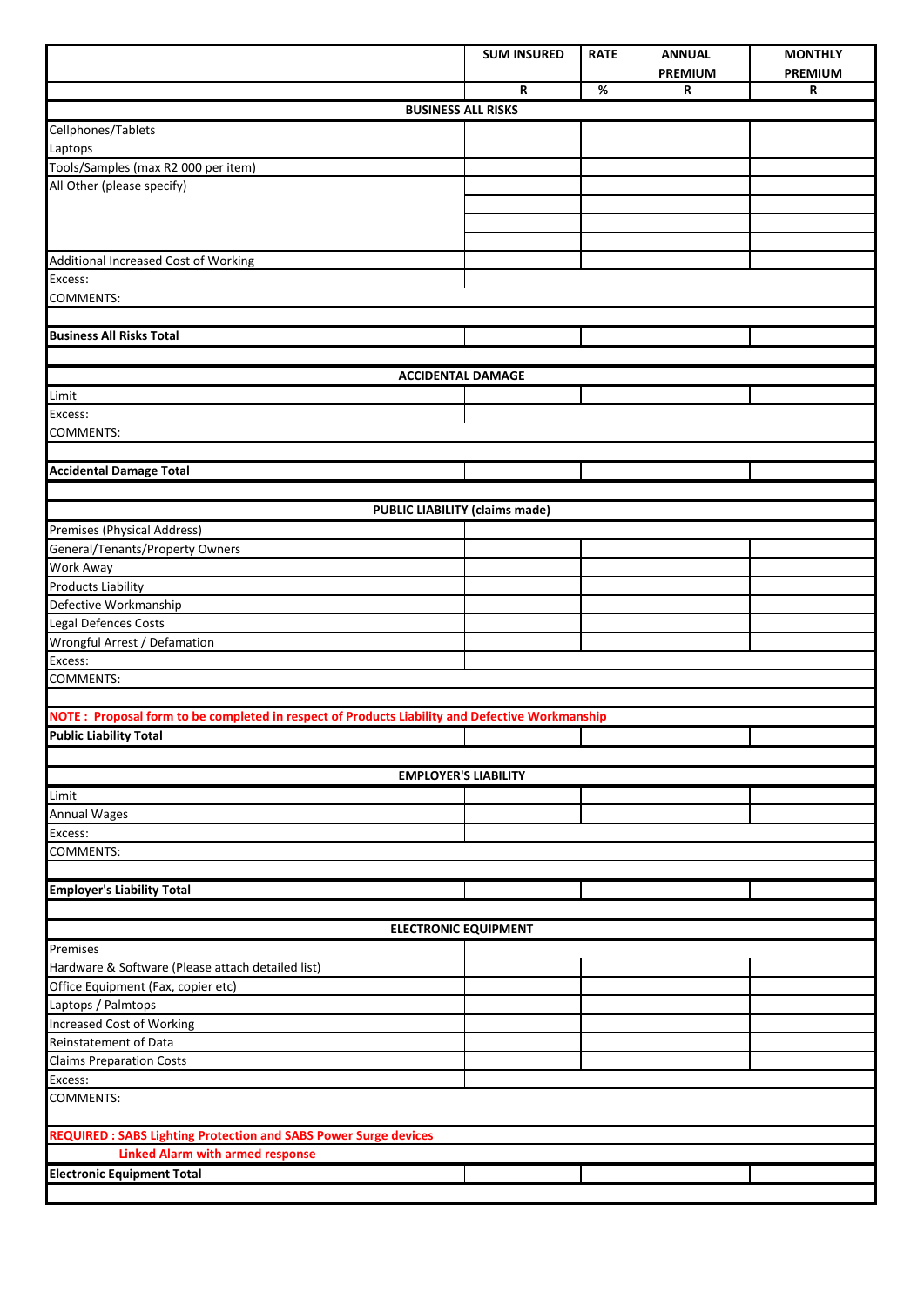|                                                                                                | <b>SUM INSURED</b> | <b>RATE</b> | <b>ANNUAL</b>  | <b>MONTHLY</b> |  |
|------------------------------------------------------------------------------------------------|--------------------|-------------|----------------|----------------|--|
|                                                                                                |                    |             | <b>PREMIUM</b> | <b>PREMIUM</b> |  |
|                                                                                                | R                  | $\%$        | R              | R              |  |
| <b>BUSINESS ALL RISKS</b>                                                                      |                    |             |                |                |  |
| Cellphones/Tablets                                                                             |                    |             |                |                |  |
| Laptops                                                                                        |                    |             |                |                |  |
| Tools/Samples (max R2 000 per item)<br>All Other (please specify)                              |                    |             |                |                |  |
|                                                                                                |                    |             |                |                |  |
|                                                                                                |                    |             |                |                |  |
|                                                                                                |                    |             |                |                |  |
| Additional Increased Cost of Working                                                           |                    |             |                |                |  |
| Excess:                                                                                        |                    |             |                |                |  |
| <b>COMMENTS:</b>                                                                               |                    |             |                |                |  |
|                                                                                                |                    |             |                |                |  |
| <b>Business All Risks Total</b>                                                                |                    |             |                |                |  |
|                                                                                                |                    |             |                |                |  |
| <b>ACCIDENTAL DAMAGE</b>                                                                       |                    |             |                |                |  |
| Limit                                                                                          |                    |             |                |                |  |
| Excess:                                                                                        |                    |             |                |                |  |
| <b>COMMENTS:</b>                                                                               |                    |             |                |                |  |
|                                                                                                |                    |             |                |                |  |
| <b>Accidental Damage Total</b>                                                                 |                    |             |                |                |  |
|                                                                                                |                    |             |                |                |  |
| PUBLIC LIABILITY (claims made)                                                                 |                    |             |                |                |  |
| Premises (Physical Address)                                                                    |                    |             |                |                |  |
| General/Tenants/Property Owners                                                                |                    |             |                |                |  |
| Work Away                                                                                      |                    |             |                |                |  |
| <b>Products Liability</b>                                                                      |                    |             |                |                |  |
| Defective Workmanship                                                                          |                    |             |                |                |  |
| Legal Defences Costs                                                                           |                    |             |                |                |  |
| Wrongful Arrest / Defamation                                                                   |                    |             |                |                |  |
| Excess:                                                                                        |                    |             |                |                |  |
| <b>COMMENTS:</b>                                                                               |                    |             |                |                |  |
| NOTE: Proposal form to be completed in respect of Products Liability and Defective Workmanship |                    |             |                |                |  |
| <b>Public Liability Total</b>                                                                  |                    |             |                |                |  |
|                                                                                                |                    |             |                |                |  |
| <b>EMPLOYER'S LIABILITY</b>                                                                    |                    |             |                |                |  |
| Limit                                                                                          |                    |             |                |                |  |
| <b>Annual Wages</b>                                                                            |                    |             |                |                |  |
| Excess:                                                                                        |                    |             |                |                |  |
| <b>COMMENTS:</b>                                                                               |                    |             |                |                |  |
|                                                                                                |                    |             |                |                |  |
| <b>Employer's Liability Total</b>                                                              |                    |             |                |                |  |
|                                                                                                |                    |             |                |                |  |
| <b>ELECTRONIC EQUIPMENT</b>                                                                    |                    |             |                |                |  |
| Premises                                                                                       |                    |             |                |                |  |
| Hardware & Software (Please attach detailed list)                                              |                    |             |                |                |  |
| Office Equipment (Fax, copier etc)                                                             |                    |             |                |                |  |
| Laptops / Palmtops                                                                             |                    |             |                |                |  |
| <b>Increased Cost of Working</b>                                                               |                    |             |                |                |  |
| Reinstatement of Data                                                                          |                    |             |                |                |  |
| <b>Claims Preparation Costs</b>                                                                |                    |             |                |                |  |
| Excess:                                                                                        |                    |             |                |                |  |
| <b>COMMENTS:</b>                                                                               |                    |             |                |                |  |
|                                                                                                |                    |             |                |                |  |
| <b>REQUIRED: SABS Lighting Protection and SABS Power Surge devices</b>                         |                    |             |                |                |  |
| <b>Linked Alarm with armed response</b>                                                        |                    |             |                |                |  |
| <b>Electronic Equipment Total</b>                                                              |                    |             |                |                |  |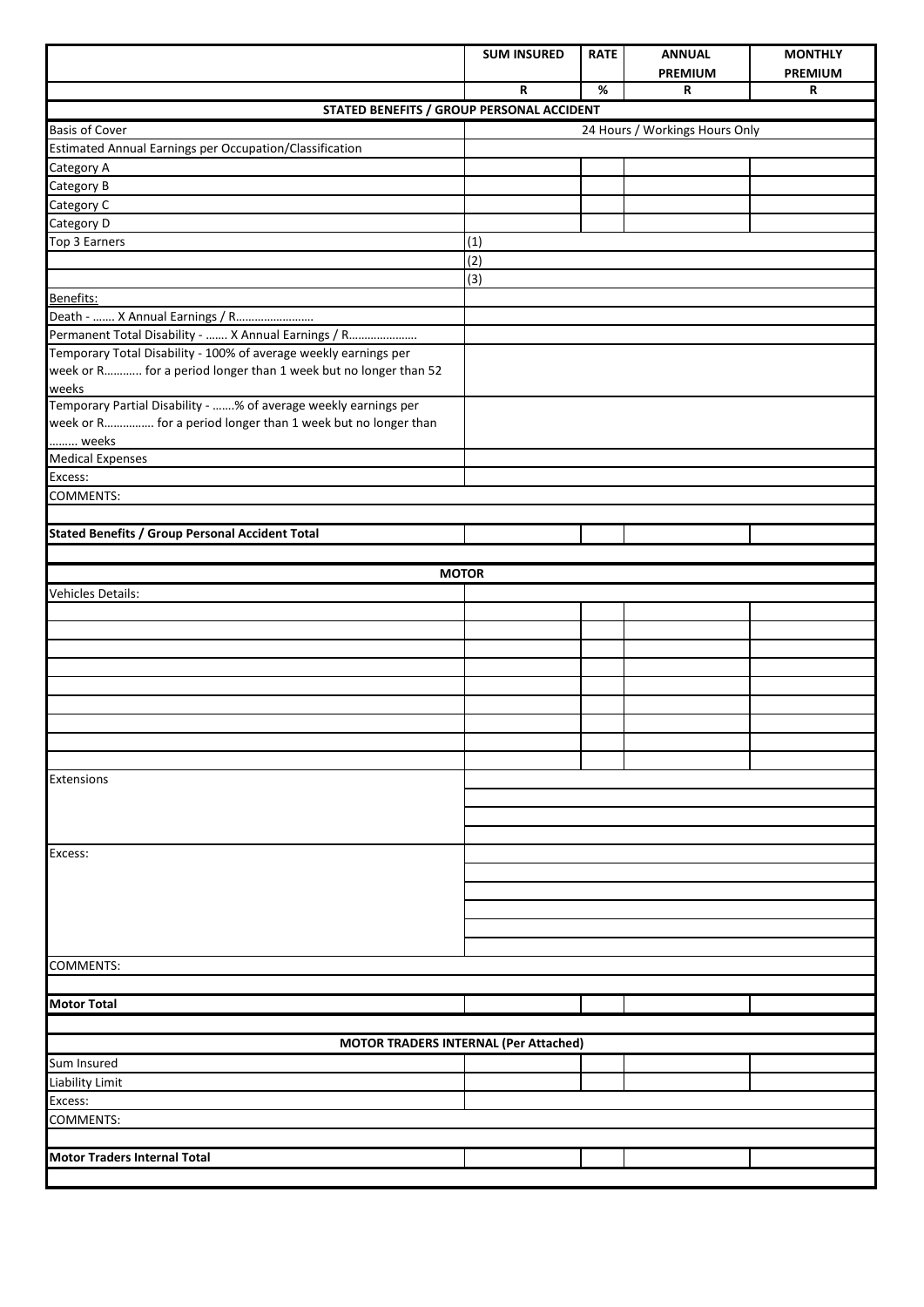|                                                                          | <b>SUM INSURED</b> | <b>RATE</b> | <b>ANNUAL</b>                  | <b>MONTHLY</b> |
|--------------------------------------------------------------------------|--------------------|-------------|--------------------------------|----------------|
|                                                                          |                    |             | <b>PREMIUM</b>                 | <b>PREMIUM</b> |
|                                                                          | R                  | $\%$        | R                              | R              |
| STATED BENEFITS / GROUP PERSONAL ACCIDENT<br><b>Basis of Cover</b>       |                    |             | 24 Hours / Workings Hours Only |                |
| Estimated Annual Earnings per Occupation/Classification                  |                    |             |                                |                |
| Category A                                                               |                    |             |                                |                |
| Category B                                                               |                    |             |                                |                |
| Category C                                                               |                    |             |                                |                |
| Category D                                                               |                    |             |                                |                |
| Top 3 Earners                                                            | (1)                |             |                                |                |
|                                                                          | (2)                |             |                                |                |
|                                                                          | (3)                |             |                                |                |
| Benefits:                                                                |                    |             |                                |                |
| Death -  X Annual Earnings / R                                           |                    |             |                                |                |
| Permanent Total Disability -  X Annual Earnings / R                      |                    |             |                                |                |
| Temporary Total Disability - 100% of average weekly earnings per         |                    |             |                                |                |
| week or R for a period longer than 1 week but no longer than 52<br>weeks |                    |             |                                |                |
| Temporary Partial Disability - % of average weekly earnings per          |                    |             |                                |                |
| week or R for a period longer than 1 week but no longer than             |                    |             |                                |                |
| weeks                                                                    |                    |             |                                |                |
| <b>Medical Expenses</b>                                                  |                    |             |                                |                |
| Excess:                                                                  |                    |             |                                |                |
| COMMENTS:                                                                |                    |             |                                |                |
|                                                                          |                    |             |                                |                |
| <b>Stated Benefits / Group Personal Accident Total</b>                   |                    |             |                                |                |
|                                                                          |                    |             |                                |                |
|                                                                          | <b>MOTOR</b>       |             |                                |                |
| Vehicles Details:                                                        |                    |             |                                |                |
|                                                                          |                    |             |                                |                |
|                                                                          |                    |             |                                |                |
|                                                                          |                    |             |                                |                |
|                                                                          |                    |             |                                |                |
|                                                                          |                    |             |                                |                |
|                                                                          |                    |             |                                |                |
|                                                                          |                    |             |                                |                |
|                                                                          |                    |             |                                |                |
|                                                                          |                    |             |                                |                |
| Extensions                                                               |                    |             |                                |                |
|                                                                          |                    |             |                                |                |
|                                                                          |                    |             |                                |                |
|                                                                          |                    |             |                                |                |
| Excess:                                                                  |                    |             |                                |                |
|                                                                          |                    |             |                                |                |
|                                                                          |                    |             |                                |                |
|                                                                          |                    |             |                                |                |
|                                                                          |                    |             |                                |                |
|                                                                          |                    |             |                                |                |
| COMMENTS:                                                                |                    |             |                                |                |
|                                                                          |                    |             |                                |                |
| Motor Total                                                              |                    |             |                                |                |
|                                                                          |                    |             |                                |                |
| MOTOR TRADERS INTERNAL (Per Attached)                                    |                    |             |                                |                |
| Sum Insured                                                              |                    |             |                                |                |
| Liability Limit                                                          |                    |             |                                |                |
| Excess:                                                                  |                    |             |                                |                |
| <b>COMMENTS:</b>                                                         |                    |             |                                |                |
|                                                                          |                    |             |                                |                |
| <b>Motor Traders Internal Total</b>                                      |                    |             |                                |                |
|                                                                          |                    |             |                                |                |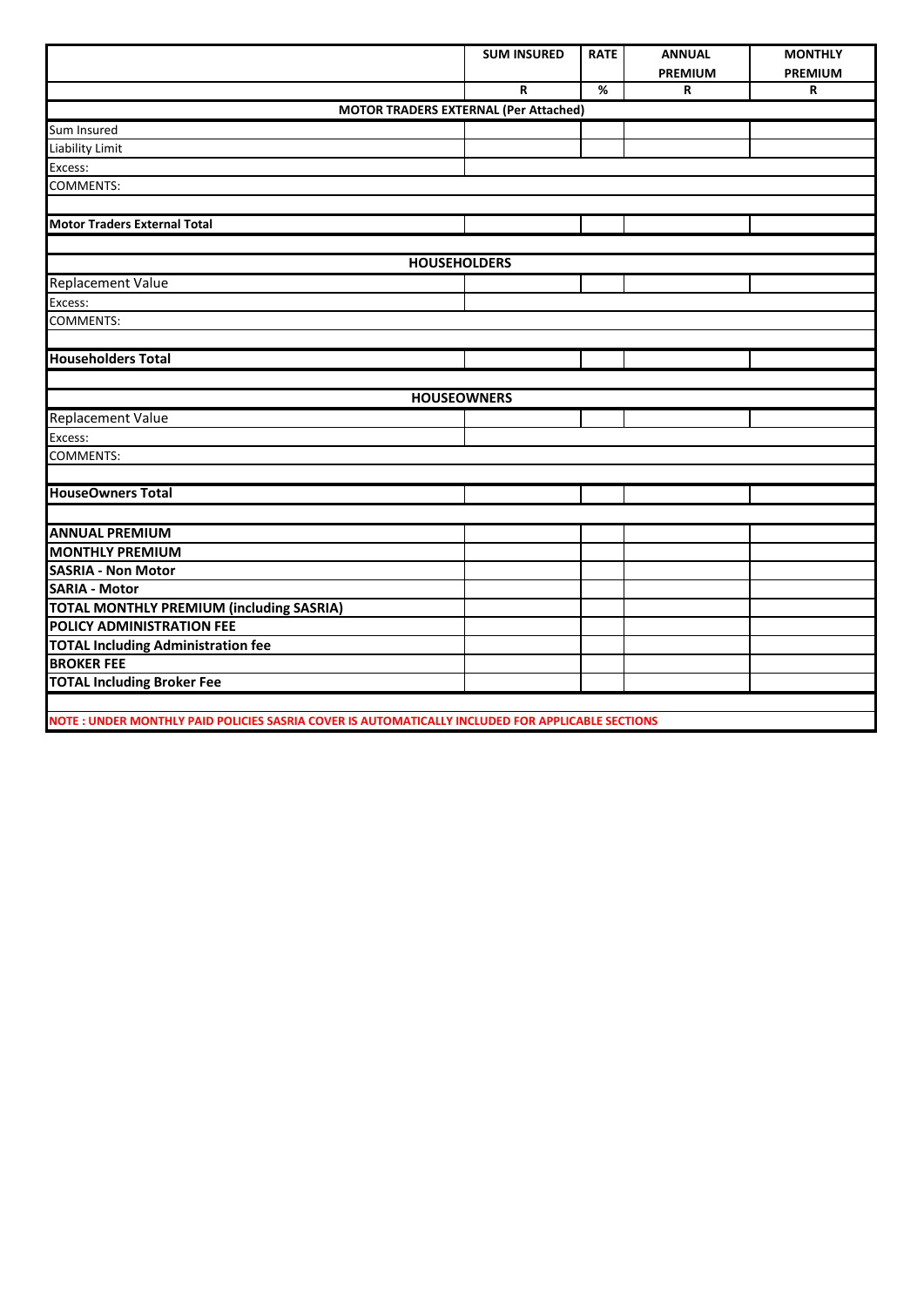|                                                                                                  | <b>SUM INSURED</b> | <b>RATE</b> | <b>ANNUAL</b>  | <b>MONTHLY</b> |
|--------------------------------------------------------------------------------------------------|--------------------|-------------|----------------|----------------|
|                                                                                                  |                    |             | <b>PREMIUM</b> | <b>PREMIUM</b> |
|                                                                                                  | R                  | %           | R              | R              |
| <b>MOTOR TRADERS EXTERNAL (Per Attached)</b>                                                     |                    |             |                |                |
| Sum Insured                                                                                      |                    |             |                |                |
| Liability Limit                                                                                  |                    |             |                |                |
| Excess:                                                                                          |                    |             |                |                |
| COMMENTS:                                                                                        |                    |             |                |                |
|                                                                                                  |                    |             |                |                |
| <b>Motor Traders External Total</b>                                                              |                    |             |                |                |
|                                                                                                  |                    |             |                |                |
| <b>HOUSEHOLDERS</b>                                                                              |                    |             |                |                |
| <b>Replacement Value</b>                                                                         |                    |             |                |                |
| Excess:                                                                                          |                    |             |                |                |
| COMMENTS:                                                                                        |                    |             |                |                |
|                                                                                                  |                    |             |                |                |
| <b>Householders Total</b>                                                                        |                    |             |                |                |
|                                                                                                  |                    |             |                |                |
|                                                                                                  | <b>HOUSEOWNERS</b> |             |                |                |
| Replacement Value                                                                                |                    |             |                |                |
| Excess:                                                                                          |                    |             |                |                |
| COMMENTS:                                                                                        |                    |             |                |                |
|                                                                                                  |                    |             |                |                |
| <b>HouseOwners Total</b>                                                                         |                    |             |                |                |
|                                                                                                  |                    |             |                |                |
| <b>ANNUAL PREMIUM</b>                                                                            |                    |             |                |                |
| <b>MONTHLY PREMIUM</b>                                                                           |                    |             |                |                |
| <b>SASRIA - Non Motor</b>                                                                        |                    |             |                |                |
| <b>SARIA - Motor</b>                                                                             |                    |             |                |                |
| <b>TOTAL MONTHLY PREMIUM (including SASRIA)</b>                                                  |                    |             |                |                |
| POLICY ADMINISTRATION FEE                                                                        |                    |             |                |                |
| <b>TOTAL Including Administration fee</b>                                                        |                    |             |                |                |
| <b>BROKER FEE</b>                                                                                |                    |             |                |                |
| <b>TOTAL Including Broker Fee</b>                                                                |                    |             |                |                |
|                                                                                                  |                    |             |                |                |
| NOTE: UNDER MONTHLY PAID POLICIES SASRIA COVER IS AUTOMATICALLY INCLUDED FOR APPLICABLE SECTIONS |                    |             |                |                |